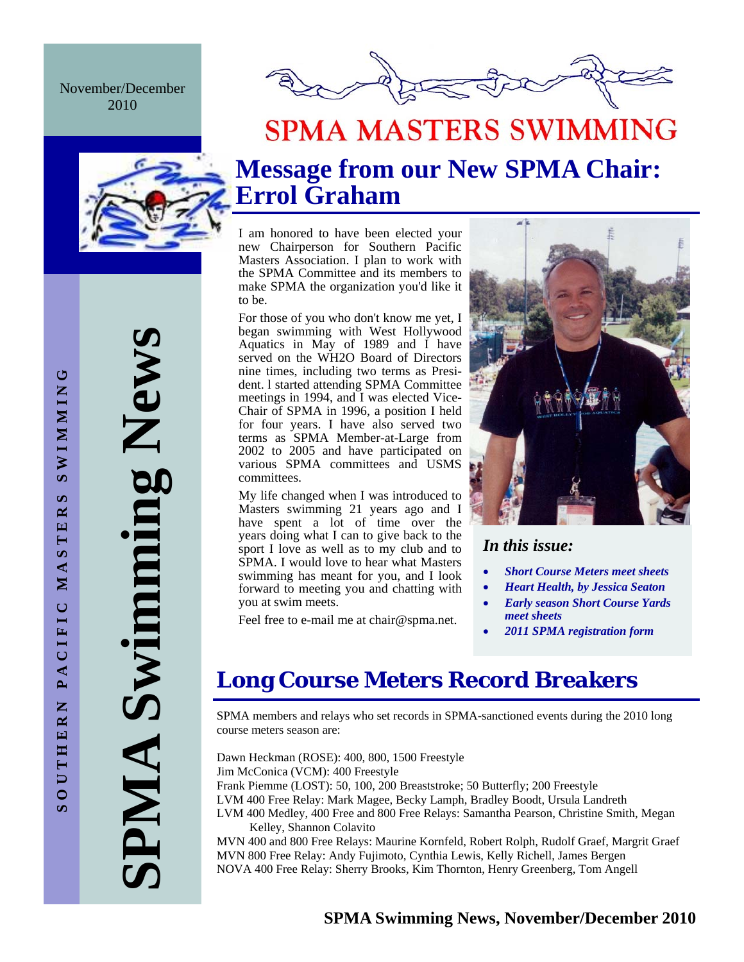November/December 2010



## **SPMA MASTERS SWIMMING**



## **Message from our New SPMA Chair: Errol Graham**

I am honored to have been elected your new Chairperson for Southern Pacific Masters Association. I plan to work with the SPMA Committee and its members to make SPMA the organization you'd like it to be.

For those of you who don't know me yet, I began swimming with West Hollywood Aquatics in May of 1989 and I have served on the WH2O Board of Directors nine times, including two terms as President. l started attending SPMA Committee meetings in 1994, and I was elected Vice-Chair of SPMA in 1996, a position I held for four years. I have also served two terms as SPMA Member-at-Large from 2002 to 2005 and have participated on various SPMA committees and USMS committees.

My life changed when I was introduced to Masters swimming 21 years ago and I have spent a lot of time over the years doing what I can to give back to the sport I love as well as to my club and to SPMA. I would love to hear what Masters swimming has meant for you, and I look forward to meeting you and chatting with you at swim meets.

Feel free to e-mail me at chair@spma.net.



### *In this issue:*

- *Short Course Meters meet sheets*
- *Heart Health, by Jessica Seaton*
- *Early season Short Course Yards meet sheets*
- *2011 SPMA registration form*

### **Long Course Meters Record Breakers**

SPMA members and relays who set records in SPMA-sanctioned events during the 2010 long course meters season are:

Dawn Heckman (ROSE): 400, 800, 1500 Freestyle Jim McConica (VCM): 400 Freestyle Frank Piemme (LOST): 50, 100, 200 Breaststroke; 50 Butterfly; 200 Freestyle LVM 400 Free Relay: Mark Magee, Becky Lamph, Bradley Boodt, Ursula Landreth LVM 400 Medley, 400 Free and 800 Free Relays: Samantha Pearson, Christine Smith, Megan Kelley, Shannon Colavito

MVN 400 and 800 Free Relays: Maurine Kornfeld, Robert Rolph, Rudolf Graef, Margrit Graef MVN 800 Free Relay: Andy Fujimoto, Cynthia Lewis, Kelly Richell, James Bergen NOVA 400 Free Relay: Sherry Brooks, Kim Thornton, Henry Greenberg, Tom Angell

**SPMA Swimming News** 

PMA Swimming New!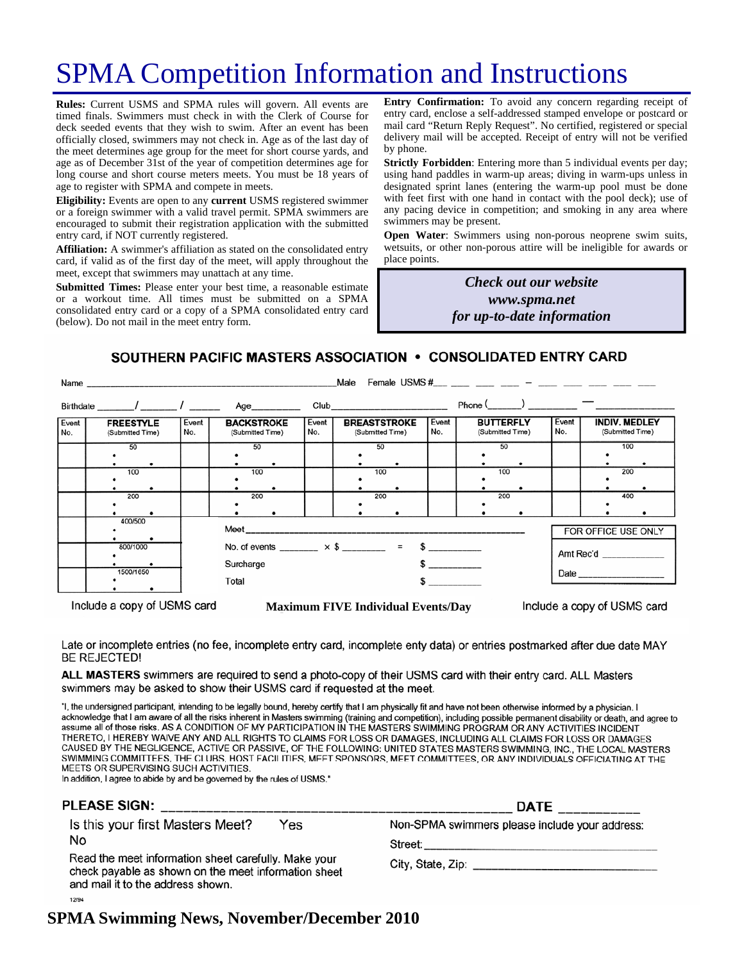## SPMA Competition Information and Instructions

**Rules:** Current USMS and SPMA rules will govern. All events are timed finals. Swimmers must check in with the Clerk of Course for deck seeded events that they wish to swim. After an event has been officially closed, swimmers may not check in. Age as of the last day of the meet determines age group for the meet for short course yards, and age as of December 31st of the year of competition determines age for long course and short course meters meets. You must be 18 years of age to register with SPMA and compete in meets.

**Eligibility:** Events are open to any **current** USMS registered swimmer or a foreign swimmer with a valid travel permit. SPMA swimmers are encouraged to submit their registration application with the submitted entry card, if NOT currently registered.

**Affiliation:** A swimmer's affiliation as stated on the consolidated entry card, if valid as of the first day of the meet, will apply throughout the meet, except that swimmers may unattach at any time.

**Submitted Times:** Please enter your best time, a reasonable estimate or a workout time. All times must be submitted on a SPMA consolidated entry card or a copy of a SPMA consolidated entry card (below). Do not mail in the meet entry form.

**Entry Confirmation:** To avoid any concern regarding receipt of entry card, enclose a self-addressed stamped envelope or postcard or mail card "Return Reply Request". No certified, registered or special delivery mail will be accepted. Receipt of entry will not be verified by phone.

**Strictly Forbidden**: Entering more than 5 individual events per day; using hand paddles in warm-up areas; diving in warm-ups unless in designated sprint lanes (entering the warm-up pool must be done with feet first with one hand in contact with the pool deck); use of any pacing device in competition; and smoking in any area where swimmers may be present.

**Open Water**: Swimmers using non-porous neoprene swim suits, wetsuits, or other non-porous attire will be ineligible for awards or place points.

> *Check out our website www.spma.net for up-to-date information*

### SOUTHERN PACIFIC MASTERS ASSOCIATION . CONSOLIDATED ENTRY CARD

|              | Male                                                                                |              |                                                    |              |                                         |                     |                                      |              |                                          |
|--------------|-------------------------------------------------------------------------------------|--------------|----------------------------------------------------|--------------|-----------------------------------------|---------------------|--------------------------------------|--------------|------------------------------------------|
|              |                                                                                     |              | Birthdate _______/ _______/ ________ Age__________ |              |                                         |                     | $Phone ($ $)$ $-$                    |              |                                          |
| Event<br>No. | <b>FREESTYLE</b><br>(Submitted Time)                                                | Event<br>No. | <b>BACKSTROKE</b><br>(Submitted Time)              | Event<br>No. | <b>BREASTSTROKE</b><br>(Submitted Time) | Event<br>No.        | <b>BUTTERFLY</b><br>(Submitted Time) | Event<br>No. | <b>INDIV. MEDLEY</b><br>(Submitted Time) |
|              | 50                                                                                  |              | 50                                                 |              | 50                                      |                     | 50                                   |              | 100                                      |
|              | 100                                                                                 |              | 100                                                |              | 100                                     |                     | 100                                  |              | 200                                      |
|              | 200                                                                                 |              | 200                                                |              | 200                                     |                     | 200                                  |              | 400                                      |
|              | 400/500                                                                             |              |                                                    |              |                                         | FOR OFFICE USE ONLY |                                      |              |                                          |
|              | No. of events ________ $\times$ \$ ________ = \$ _________<br>800/1000<br>Surcharge |              |                                                    |              |                                         |                     |                                      | Amt Rec'd    |                                          |
|              | 1500/1650<br>Total                                                                  |              |                                                    |              |                                         |                     |                                      |              |                                          |

Include a copy of USMS card

**Maximum FIVE Individual Events/Day** 

Include a copy of USMS card

Late or incomplete entries (no fee, incomplete entry card, incomplete enty data) or entries postmarked after due date MAY **BE REJECTED!** 

ALL MASTERS swimmers are required to send a photo-copy of their USMS card with their entry card. ALL Masters swimmers may be asked to show their USMS card if requested at the meet.

"I, the undersigned participant, intending to be legally bound, hereby certify that I am physically fit and have not been otherwise informed by a physician. I acknowledge that I am aware of all the risks inherent in Masters swimming (training and competition), including possible permanent disability or death, and agree to assume all of those risks. AS A CONDITION OF MY PARTICIPATION IN THE MASTERS SWIMMING PROGRAM OR ANY ACTIVITIES INCIDENT THERETO, I HEREBY WAIVE ANY AND ALL RIGHTS TO CLAIMS FOR LOSS OR DAMAGES, INCLUDING ALL CLAIMS FOR LOSS OR DAMAGES CAUSED BY THE NEGLIGENCE, ACTIVE OR PASSIVE, OF THE FOLLOWING: UNITED STATES MASTERS SWIMMING, INC., THE LOCAL MASTERS SWIMMING COMMITTEES, THE CLUBS, HOST FACILITIES, MEET SPONSORS, MEET COMMITTEES, OR ANY INDIVIDUALS OFFICIATING AT THE MEETS OR SUPERVISING SUCH ACTIVITIES.

In addition, I agree to abide by and be governed by the rules of USMS."

| <b>PLEASE SIGN:</b>                                                                                                                               | <b>DATE</b>                                    |  |  |  |
|---------------------------------------------------------------------------------------------------------------------------------------------------|------------------------------------------------|--|--|--|
| Is this your first Masters Meet?<br>Yes                                                                                                           | Non-SPMA swimmers please include your address: |  |  |  |
| No                                                                                                                                                | Street:                                        |  |  |  |
| Read the meet information sheet carefully. Make your<br>check payable as shown on the meet information sheet<br>and mail it to the address shown. |                                                |  |  |  |
| 12/94                                                                                                                                             |                                                |  |  |  |

### **SPMA Swimming News, November/December 2010**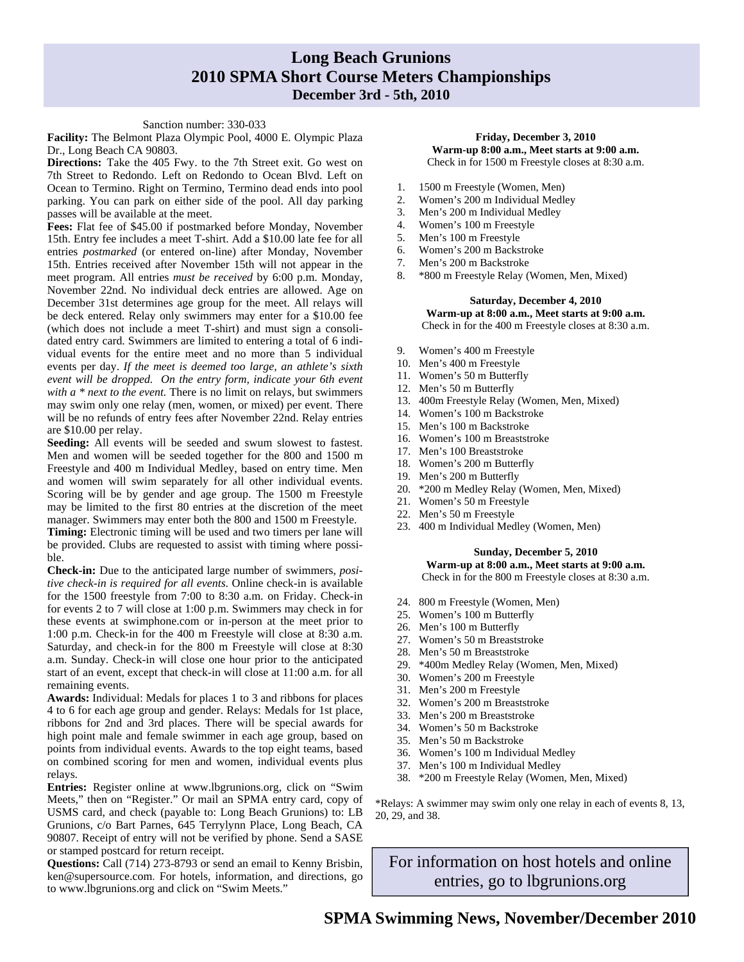### **Long Beach Grunions 2010 SPMA Short Course Meters Championships December 3rd - 5th, 2010**

#### Sanction number: 330-033

**Facility:** The Belmont Plaza Olympic Pool, 4000 E. Olympic Plaza Dr., Long Beach CA 90803.

**Directions:** Take the 405 Fwy. to the 7th Street exit. Go west on 7th Street to Redondo. Left on Redondo to Ocean Blvd. Left on Ocean to Termino. Right on Termino, Termino dead ends into pool parking. You can park on either side of the pool. All day parking passes will be available at the meet.

**Fees:** Flat fee of \$45.00 if postmarked before Monday, November 15th. Entry fee includes a meet T-shirt. Add a \$10.00 late fee for all entries *postmarked* (or entered on-line) after Monday, November 15th. Entries received after November 15th will not appear in the meet program. All entries *must be received* by 6:00 p.m. Monday, November 22nd. No individual deck entries are allowed. Age on December 31st determines age group for the meet. All relays will be deck entered. Relay only swimmers may enter for a \$10.00 fee (which does not include a meet T-shirt) and must sign a consolidated entry card. Swimmers are limited to entering a total of 6 individual events for the entire meet and no more than 5 individual events per day. *If the meet is deemed too large, an athlete's sixth event will be dropped. On the entry form, indicate your 6th event with a \* next to the event.* There is no limit on relays, but swimmers may swim only one relay (men, women, or mixed) per event. There will be no refunds of entry fees after November 22nd. Relay entries are \$10.00 per relay.

**Seeding:** All events will be seeded and swum slowest to fastest. Men and women will be seeded together for the 800 and 1500 m Freestyle and 400 m Individual Medley, based on entry time. Men and women will swim separately for all other individual events. Scoring will be by gender and age group. The 1500 m Freestyle may be limited to the first 80 entries at the discretion of the meet manager. Swimmers may enter both the 800 and 1500 m Freestyle.

**Timing:** Electronic timing will be used and two timers per lane will be provided. Clubs are requested to assist with timing where possible.

**Check-in:** Due to the anticipated large number of swimmers, *positive check-in is required for all events*. Online check-in is available for the 1500 freestyle from 7:00 to 8:30 a.m. on Friday. Check-in for events 2 to 7 will close at 1:00 p.m. Swimmers may check in for these events at swimphone.com or in-person at the meet prior to 1:00 p.m. Check-in for the 400 m Freestyle will close at 8:30 a.m. Saturday, and check-in for the 800 m Freestyle will close at 8:30 a.m. Sunday. Check-in will close one hour prior to the anticipated start of an event, except that check-in will close at 11:00 a.m. for all remaining events.

**Awards:** Individual: Medals for places 1 to 3 and ribbons for places 4 to 6 for each age group and gender. Relays: Medals for 1st place, ribbons for 2nd and 3rd places. There will be special awards for high point male and female swimmer in each age group, based on points from individual events. Awards to the top eight teams, based on combined scoring for men and women, individual events plus relays.

**Entries:** Register online at www.lbgrunions.org, click on "Swim Meets," then on "Register." Or mail an SPMA entry card, copy of USMS card, and check (payable to: Long Beach Grunions) to: LB Grunions, c/o Bart Parnes, 645 Terrylynn Place, Long Beach, CA 90807. Receipt of entry will not be verified by phone. Send a SASE or stamped postcard for return receipt.

**Questions:** Call (714) 273-8793 or send an email to Kenny Brisbin, ken@supersource.com. For hotels, information, and directions, go to www.lbgrunions.org and click on "Swim Meets."

#### **Friday, December 3, 2010 Warm-up 8:00 a.m., Meet starts at 9:00 a.m.**  Check in for 1500 m Freestyle closes at 8:30 a.m.

- 1. 1500 m Freestyle (Women, Men)
- 2. Women's 200 m Individual Medley
- 3. Men's 200 m Individual Medley
- 4. Women's 100 m Freestyle
- 5. Men's 100 m Freestyle
- 6. Women's 200 m Backstroke
- 7. Men's 200 m Backstroke
- 8. \* 800 m Freestyle Relay (Women, Men, Mixed)

#### **Saturday, December 4, 2010 Warm-up at 8:00 a.m., Meet starts at 9:00 a.m.**  Check in for the 400 m Freestyle closes at 8:30 a.m.

- 9. Women's 400 m Freestyle
- 10. Men's 400 m Freestyle
- 11. Women's 50 m Butterfly
- 12. Men's 50 m Butterfly
- 13. 400m Freestyle Relay (Women, Men, Mixed)
- 14. Women's 100 m Backstroke
- 15. Men's 100 m Backstroke
- 16. Women's 100 m Breaststroke
- 17. Men's 100 Breaststroke
- 18. Women's 200 m Butterfly
- 19. Men's 200 m Butterfly
- 20. \*200 m Medley Relay (Women, Men, Mixed)
- 21. Women's 50 m Freestyle
- 22. Men's 50 m Freestyle
- 23. 400 m Individual Medley (Women, Men)

### **Sunday, December 5, 2010**

**Warm-up at 8:00 a.m., Meet starts at 9:00 a.m.**  Check in for the 800 m Freestyle closes at 8:30 a.m.

- 24. 800 m Freestyle (Women, Men)
- 25. Women's 100 m Butterfly
- 26. Men's 100 m Butterfly
- 27. Women's 50 m Breaststroke
- 28. Men's 50 m Breaststroke
- 29. \*400m Medley Relay (Women, Men, Mixed)
- 30. Women's 200 m Freestyle
- 31. Men's 200 m Freestyle
- 32. Women's 200 m Breaststroke
- 33. Men's 200 m Breaststroke
- 34. Women's 50 m Backstroke
- 35. Men's 50 m Backstroke
- 36. Women's 100 m Individual Medley
- 37. Men's 100 m Individual Medley
- 38. \*200 m Freestyle Relay (Women, Men, Mixed)

\*Relays: A swimmer may swim only one relay in each of events 8, 13, 20, 29, and 38.

For information on host hotels and online entries, go to lbgrunions.org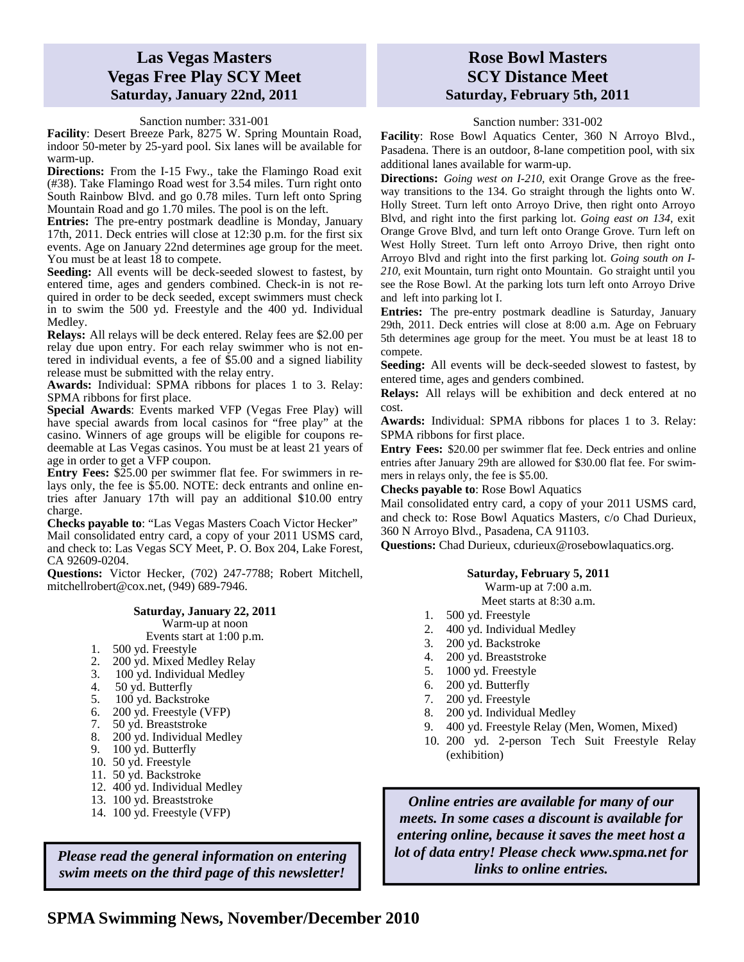### **Las Vegas Masters Vegas Free Play SCY Meet Saturday, January 22nd, 2011**

Sanction number: 331-001

**Facility**: Desert Breeze Park, 8275 W. Spring Mountain Road, indoor 50-meter by 25-yard pool. Six lanes will be available for warm-up.

**Directions:** From the I-15 Fwy., take the Flamingo Road exit (#38). Take Flamingo Road west for 3.54 miles. Turn right onto South Rainbow Blvd. and go 0.78 miles. Turn left onto Spring Mountain Road and go 1.70 miles. The pool is on the left.

**Entries:** The pre-entry postmark deadline is Monday, January 17th, 2011. Deck entries will close at 12:30 p.m. for the first six events. Age on January 22nd determines age group for the meet. You must be at least 18 to compete.

**Seeding:** All events will be deck-seeded slowest to fastest, by entered time, ages and genders combined. Check-in is not required in order to be deck seeded, except swimmers must check in to swim the 500 yd. Freestyle and the 400 yd. Individual Medley.

**Relays:** All relays will be deck entered. Relay fees are \$2.00 per relay due upon entry. For each relay swimmer who is not entered in individual events, a fee of \$5.00 and a signed liability release must be submitted with the relay entry.

**Awards:** Individual: SPMA ribbons for places 1 to 3. Relay: SPMA ribbons for first place.

**Special Awards**: Events marked VFP (Vegas Free Play) will have special awards from local casinos for "free play" at the casino. Winners of age groups will be eligible for coupons redeemable at Las Vegas casinos. You must be at least 21 years of age in order to get a VFP coupon.

**Entry Fees:** \$25.00 per swimmer flat fee. For swimmers in relays only, the fee is \$5.00. NOTE: deck entrants and online entries after January 17th will pay an additional \$10.00 entry charge.

**Checks payable to**: "Las Vegas Masters Coach Victor Hecker" Mail consolidated entry card, a copy of your 2011 USMS card, and check to: Las Vegas SCY Meet, P. O. Box 204, Lake Forest, CA 92609-0204.

**Questions:** Victor Hecker, (702) 247-7788; Robert Mitchell, mitchellrobert@cox.net, (949) 689-7946.

### **Saturday, January 22, 2011**

Warm-up at noon

- Events start at 1:00 p.m.
- 1. 500 yd. Freestyle
- 2.  $200 \text{ yd. Mixed Medley Relay}$
- 3. 100 yd. Individual Medley
- 4. 50 yd. Butterfly
- 5. 100 yd. Backstroke
- 6. 200 yd. Freestyle (VFP)
- 
- 7. 50 yd. Breaststroke<br>8. 200 yd. Individual N 200 yd. Individual Medley
- 9. 100 yd. Butterfly
- 10. 50 yd. Freestyle
- 11. 50 yd. Backstroke
- 12. 400 yd. Individual Medley
- 13. 100 yd. Breaststroke
- 14. 100 yd. Freestyle (VFP)

*Please read the general information on entering*  $\begin{array}{c} \text{lot of data entry! Please check www.s.} \\ \text{limits to online entries.} \end{array}$ *swim meets on the third page of this newsletter!* 

### **Rose Bowl Masters SCY Distance Meet Saturday, February 5th, 2011**

Sanction number: 331-002

**Facility**: Rose Bowl Aquatics Center, 360 N Arroyo Blvd., Pasadena. There is an outdoor, 8-lane competition pool, with six additional lanes available for warm-up.

**Directions:** *Going west on I-210,* exit Orange Grove as the freeway transitions to the 134. Go straight through the lights onto W. Holly Street. Turn left onto Arroyo Drive, then right onto Arroyo Blvd, and right into the first parking lot. *Going east on 134,* exit Orange Grove Blvd, and turn left onto Orange Grove. Turn left on West Holly Street. Turn left onto Arroyo Drive, then right onto Arroyo Blvd and right into the first parking lot. *Going south on I-210,* exit Mountain, turn right onto Mountain. Go straight until you see the Rose Bowl. At the parking lots turn left onto Arroyo Drive and left into parking lot I.

**Entries:** The pre-entry postmark deadline is Saturday, January 29th, 2011. Deck entries will close at 8:00 a.m. Age on February 5th determines age group for the meet. You must be at least 18 to compete.

**Seeding:** All events will be deck-seeded slowest to fastest, by entered time, ages and genders combined.

**Relays:** All relays will be exhibition and deck entered at no cost.

**Awards:** Individual: SPMA ribbons for places 1 to 3. Relay: SPMA ribbons for first place.

**Entry Fees:** \$20.00 per swimmer flat fee. Deck entries and online entries after January 29th are allowed for \$30.00 flat fee. For swimmers in relays only, the fee is \$5.00.

**Checks payable to**: Rose Bowl Aquatics

Mail consolidated entry card, a copy of your 2011 USMS card, and check to: Rose Bowl Aquatics Masters, c/o Chad Durieux, 360 N Arroyo Blvd., Pasadena, CA 91103.

**Questions:** Chad Durieux, cdurieux@rosebowlaquatics.org.

### **Saturday, February 5, 2011**

Warm-up at 7:00 a.m.

Meet starts at 8:30 a.m.

- 1. 500 yd. Freestyle
- 2. 400 yd. Individual Medley
- 3. 200 yd. Backstroke
- 4. 200 yd. Breaststroke
- 5. 1000 yd. Freestyle
- 6. 200 yd. Butterfly
- 7. 200 yd. Freestyle
- 8. 200 yd. Individual Medley
- 9. 400 yd. Freestyle Relay (Men, Women, Mixed)
- 10. 200 yd. 2-person Tech Suit Freestyle Relay (exhibition)

*Online entries are available for many of our meets. In some cases a discount is available for entering online, because it saves the meet host a lot of data entry! Please check www.spma.net for*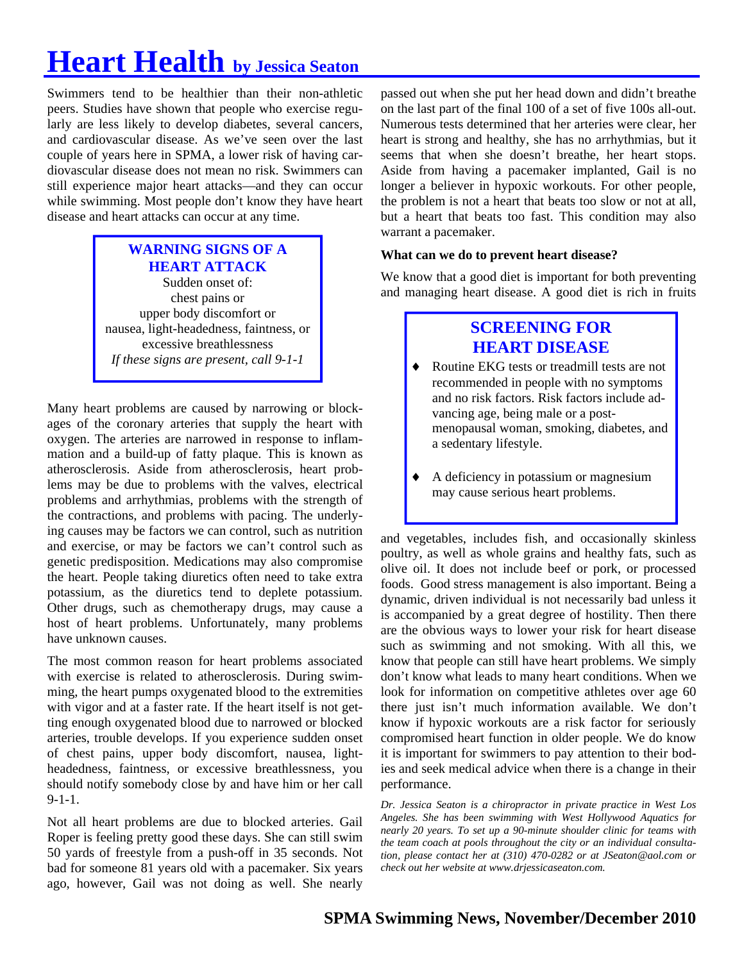# **Heart Health by Jessica Seaton**

Swimmers tend to be healthier than their non-athletic peers. Studies have shown that people who exercise regularly are less likely to develop diabetes, several cancers, and cardiovascular disease. As we've seen over the last couple of years here in SPMA, a lower risk of having cardiovascular disease does not mean no risk. Swimmers can still experience major heart attacks—and they can occur while swimming. Most people don't know they have heart disease and heart attacks can occur at any time.

### **WARNING SIGNS OF A HEART ATTACK**  Sudden onset of: chest pains or upper body discomfort or nausea, light-headedness, faintness, or excessive breathlessness *If these signs are present, call 9-1-1*

Many heart problems are caused by narrowing or blockages of the coronary arteries that supply the heart with oxygen. The arteries are narrowed in response to inflammation and a build-up of fatty plaque. This is known as atherosclerosis. Aside from atherosclerosis, heart problems may be due to problems with the valves, electrical problems and arrhythmias, problems with the strength of the contractions, and problems with pacing. The underlying causes may be factors we can control, such as nutrition and exercise, or may be factors we can't control such as genetic predisposition. Medications may also compromise the heart. People taking diuretics often need to take extra potassium, as the diuretics tend to deplete potassium. Other drugs, such as chemotherapy drugs, may cause a host of heart problems. Unfortunately, many problems have unknown causes.

The most common reason for heart problems associated with exercise is related to atherosclerosis. During swimming, the heart pumps oxygenated blood to the extremities with vigor and at a faster rate. If the heart itself is not getting enough oxygenated blood due to narrowed or blocked arteries, trouble develops. If you experience sudden onset of chest pains, upper body discomfort, nausea, lightheadedness, faintness, or excessive breathlessness, you should notify somebody close by and have him or her call  $9-1-1.$ 

Not all heart problems are due to blocked arteries. Gail Roper is feeling pretty good these days. She can still swim 50 yards of freestyle from a push-off in 35 seconds. Not bad for someone 81 years old with a pacemaker. Six years ago, however, Gail was not doing as well. She nearly

passed out when she put her head down and didn't breathe on the last part of the final 100 of a set of five 100s all-out. Numerous tests determined that her arteries were clear, her heart is strong and healthy, she has no arrhythmias, but it seems that when she doesn't breathe, her heart stops. Aside from having a pacemaker implanted, Gail is no longer a believer in hypoxic workouts. For other people, the problem is not a heart that beats too slow or not at all, but a heart that beats too fast. This condition may also warrant a pacemaker.

### **What can we do to prevent heart disease?**

We know that a good diet is important for both preventing and managing heart disease. A good diet is rich in fruits

### **SCREENING FOR HEART DISEASE**

- Routine EKG tests or treadmill tests are not recommended in people with no symptoms and no risk factors. Risk factors include advancing age, being male or a postmenopausal woman, smoking, diabetes, and a sedentary lifestyle.
- A deficiency in potassium or magnesium may cause serious heart problems.

and vegetables, includes fish, and occasionally skinless poultry, as well as whole grains and healthy fats, such as olive oil. It does not include beef or pork, or processed foods. Good stress management is also important. Being a dynamic, driven individual is not necessarily bad unless it is accompanied by a great degree of hostility. Then there are the obvious ways to lower your risk for heart disease such as swimming and not smoking. With all this, we know that people can still have heart problems. We simply don't know what leads to many heart conditions. When we look for information on competitive athletes over age 60 there just isn't much information available. We don't know if hypoxic workouts are a risk factor for seriously compromised heart function in older people. We do know it is important for swimmers to pay attention to their bodies and seek medical advice when there is a change in their performance.

*Dr. Jessica Seaton is a chiropractor in private practice in West Los Angeles. She has been swimming with West Hollywood Aquatics for nearly 20 years. To set up a 90-minute shoulder clinic for teams with the team coach at pools throughout the city or an individual consultation, please contact her at (310) 470-0282 or at JSeaton@aol.com or check out her website at www.drjessicaseaton.com.*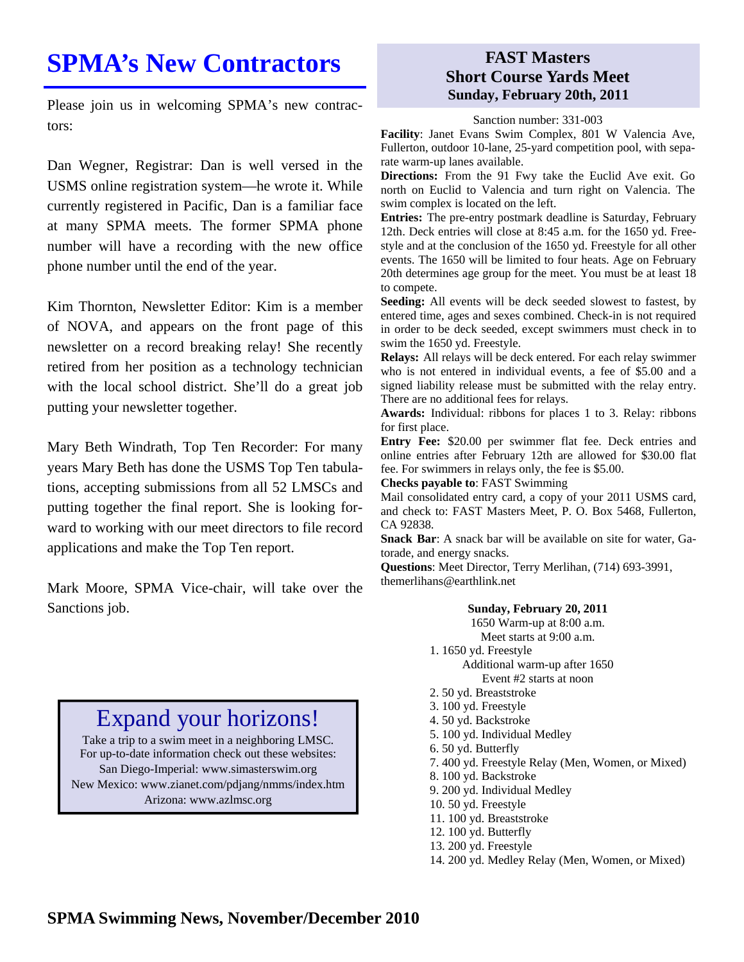## **SPMA's New Contractors**

Please join us in welcoming SPMA's new contractors:

Dan Wegner, Registrar: Dan is well versed in the USMS online registration system—he wrote it. While currently registered in Pacific, Dan is a familiar face at many SPMA meets. The former SPMA phone number will have a recording with the new office phone number until the end of the year.

Kim Thornton, Newsletter Editor: Kim is a member of NOVA, and appears on the front page of this newsletter on a record breaking relay! She recently retired from her position as a technology technician with the local school district. She'll do a great job putting your newsletter together.

Mary Beth Windrath, Top Ten Recorder: For many years Mary Beth has done the USMS Top Ten tabulations, accepting submissions from all 52 LMSCs and putting together the final report. She is looking forward to working with our meet directors to file record applications and make the Top Ten report.

Mark Moore, SPMA Vice-chair, will take over the Sanctions job.

### **FAST Masters Short Course Yards Meet Sunday, February 20th, 2011**

Sanction number: 331-003

**Facility**: Janet Evans Swim Complex, 801 W Valencia Ave, Fullerton, outdoor 10-lane, 25-yard competition pool, with separate warm-up lanes available.

**Directions:** From the 91 Fwy take the Euclid Ave exit. Go north on Euclid to Valencia and turn right on Valencia. The swim complex is located on the left.

**Entries:** The pre-entry postmark deadline is Saturday, February 12th. Deck entries will close at 8:45 a.m. for the 1650 yd. Freestyle and at the conclusion of the 1650 yd. Freestyle for all other events. The 1650 will be limited to four heats. Age on February 20th determines age group for the meet. You must be at least 18 to compete.

**Seeding:** All events will be deck seeded slowest to fastest, by entered time, ages and sexes combined. Check-in is not required in order to be deck seeded, except swimmers must check in to swim the 1650 yd. Freestyle.

**Relays:** All relays will be deck entered. For each relay swimmer who is not entered in individual events, a fee of \$5.00 and a signed liability release must be submitted with the relay entry. There are no additional fees for relays.

**Awards:** Individual: ribbons for places 1 to 3. Relay: ribbons for first place.

**Entry Fee:** \$20.00 per swimmer flat fee. Deck entries and online entries after February 12th are allowed for \$30.00 flat fee. For swimmers in relays only, the fee is \$5.00.

**Checks payable to**: FAST Swimming

Mail consolidated entry card, a copy of your 2011 USMS card, and check to: FAST Masters Meet, P. O. Box 5468, Fullerton, CA 92838.

**Snack Bar**: A snack bar will be available on site for water, Gatorade, and energy snacks.

**Questions**: Meet Director, Terry Merlihan, (714) 693-3991, themerlihans@earthlink.net

### **Sunday, February 20, 2011**

1650 Warm-up at 8:00 a.m. Meet starts at 9:00 a.m. 1. 1650 yd. Freestyle Additional warm-up after 1650 Event #2 starts at noon

- 2. 50 yd. Breaststroke
- 3. 100 yd. Freestyle
- 4. 50 yd. Backstroke
- 5. 100 yd. Individual Medley
- 6. 50 yd. Butterfly
- 7. 400 yd. Freestyle Relay (Men, Women, or Mixed)
- 8. 100 yd. Backstroke
- 9. 200 yd. Individual Medley
- 10. 50 yd. Freestyle
- 11. 100 yd. Breaststroke
- 12. 100 yd. Butterfly
- 13. 200 yd. Freestyle
- 14. 200 yd. Medley Relay (Men, Women, or Mixed)

### Expand your horizons!

Take a trip to a swim meet in a neighboring LMSC. For up-to-date information check out these websites: San Diego-Imperial: www.simasterswim.org New Mexico: www.zianet.com/pdjang/nmms/index.htm Arizona: www.azlmsc.org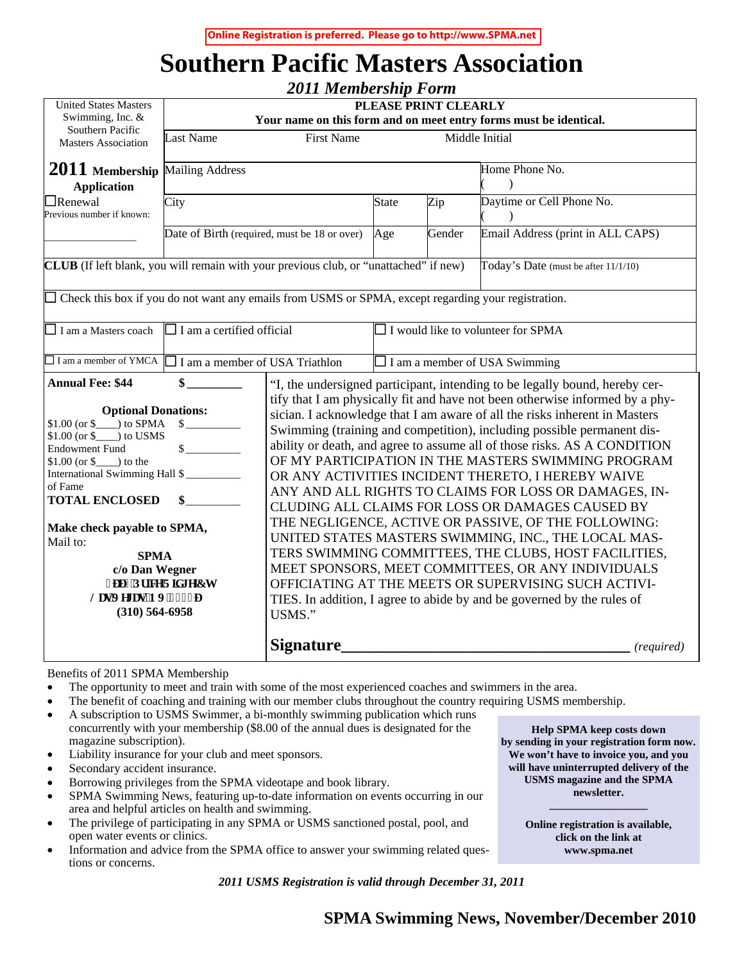**Online Registration is preferred. Please go to http://www.SPMA.net**

## **Southern Pacific Masters Association**

|                                                                                                                                                                                                                                                                                                                                                                                                         |                                                                                           | <b>2011 Membership Form</b>                                                                                                                                                                                                                                                                                                                                                                                                                                                                                                                                                                                                                                                                                                                                                                                                                                                                                                                                                                          |                     |                |                                      |  |  |  |  |
|---------------------------------------------------------------------------------------------------------------------------------------------------------------------------------------------------------------------------------------------------------------------------------------------------------------------------------------------------------------------------------------------------------|-------------------------------------------------------------------------------------------|------------------------------------------------------------------------------------------------------------------------------------------------------------------------------------------------------------------------------------------------------------------------------------------------------------------------------------------------------------------------------------------------------------------------------------------------------------------------------------------------------------------------------------------------------------------------------------------------------------------------------------------------------------------------------------------------------------------------------------------------------------------------------------------------------------------------------------------------------------------------------------------------------------------------------------------------------------------------------------------------------|---------------------|----------------|--------------------------------------|--|--|--|--|
| <b>United States Masters</b><br>Swimming, Inc. &                                                                                                                                                                                                                                                                                                                                                        | PLEASE PRINT CLEARLY<br>Your name on this form and on meet entry forms must be identical. |                                                                                                                                                                                                                                                                                                                                                                                                                                                                                                                                                                                                                                                                                                                                                                                                                                                                                                                                                                                                      |                     |                |                                      |  |  |  |  |
| Southern Pacific<br><b>Masters Association</b>                                                                                                                                                                                                                                                                                                                                                          | <b>First Name</b><br>Middle Initial<br><b>Last Name</b>                                   |                                                                                                                                                                                                                                                                                                                                                                                                                                                                                                                                                                                                                                                                                                                                                                                                                                                                                                                                                                                                      |                     |                |                                      |  |  |  |  |
| <b>Mailing Address</b><br>$2011$ Membership<br><b>Application</b>                                                                                                                                                                                                                                                                                                                                       |                                                                                           |                                                                                                                                                                                                                                                                                                                                                                                                                                                                                                                                                                                                                                                                                                                                                                                                                                                                                                                                                                                                      |                     | Home Phone No. |                                      |  |  |  |  |
| $\Box$ Renewal<br>Previous number if known:                                                                                                                                                                                                                                                                                                                                                             | City                                                                                      |                                                                                                                                                                                                                                                                                                                                                                                                                                                                                                                                                                                                                                                                                                                                                                                                                                                                                                                                                                                                      | <b>State</b><br>Zip |                | Daytime or Cell Phone No.            |  |  |  |  |
|                                                                                                                                                                                                                                                                                                                                                                                                         | Date of Birth (required, must be 18 or over)                                              |                                                                                                                                                                                                                                                                                                                                                                                                                                                                                                                                                                                                                                                                                                                                                                                                                                                                                                                                                                                                      | Age                 | Gender         | Email Address (print in ALL CAPS)    |  |  |  |  |
| CLUB (If left blank, you will remain with your previous club, or "unattached" if new)                                                                                                                                                                                                                                                                                                                   |                                                                                           |                                                                                                                                                                                                                                                                                                                                                                                                                                                                                                                                                                                                                                                                                                                                                                                                                                                                                                                                                                                                      |                     |                | Today's Date (must be after 11/1/10) |  |  |  |  |
| $\Box$ Check this box if you do not want any emails from USMS or SPMA, except regarding your registration.                                                                                                                                                                                                                                                                                              |                                                                                           |                                                                                                                                                                                                                                                                                                                                                                                                                                                                                                                                                                                                                                                                                                                                                                                                                                                                                                                                                                                                      |                     |                |                                      |  |  |  |  |
| $\Box$ I am a Masters coach                                                                                                                                                                                                                                                                                                                                                                             | I am a certified official<br>I would like to volunteer for SPMA                           |                                                                                                                                                                                                                                                                                                                                                                                                                                                                                                                                                                                                                                                                                                                                                                                                                                                                                                                                                                                                      |                     |                |                                      |  |  |  |  |
| $\Box$ I am a member of YMCA                                                                                                                                                                                                                                                                                                                                                                            | I am a member of USA Triathlon                                                            | $\Box$ I am a member of USA Swimming                                                                                                                                                                                                                                                                                                                                                                                                                                                                                                                                                                                                                                                                                                                                                                                                                                                                                                                                                                 |                     |                |                                      |  |  |  |  |
| <b>Annual Fee: \$44</b><br>$\mathbf{\$}$<br><b>Optional Donations:</b><br>\$<br>$$1.00$ (or $$$ ) to USMS<br>$\mathbb{S}$<br><b>Endowment Fund</b><br>$$1.00$ (or $$$ ) to the<br>International Swimming Hall \$<br>of Fame<br><b>TOTAL ENCLOSED</b><br>Make check payable to SPMA,<br>Mail to:<br><b>SPMA</b><br>c/o Dan Wegner<br>5995'Rtleg'Tlf i g'Ev<br>Ncu'Xgi cu'PX'!; 369<br>$(310) 564 - 6958$ |                                                                                           | "I, the undersigned participant, intending to be legally bound, hereby cer-<br>tify that I am physically fit and have not been otherwise informed by a phy-<br>sician. I acknowledge that I am aware of all the risks inherent in Masters<br>Swimming (training and competition), including possible permanent dis-<br>ability or death, and agree to assume all of those risks. AS A CONDITION<br>OF MY PARTICIPATION IN THE MASTERS SWIMMING PROGRAM<br>OR ANY ACTIVITIES INCIDENT THERETO, I HEREBY WAIVE<br>ANY AND ALL RIGHTS TO CLAIMS FOR LOSS OR DAMAGES, IN-<br>CLUDING ALL CLAIMS FOR LOSS OR DAMAGES CAUSED BY<br>THE NEGLIGENCE, ACTIVE OR PASSIVE, OF THE FOLLOWING:<br>UNITED STATES MASTERS SWIMMING, INC., THE LOCAL MAS-<br>TERS SWIMMING COMMITTEES, THE CLUBS, HOST FACILITIES,<br>MEET SPONSORS, MEET COMMITTEES, OR ANY INDIVIDUALS<br>OFFICIATING AT THE MEETS OR SUPERVISING SUCH ACTIVI-<br>TIES. In addition, I agree to abide by and be governed by the rules of<br>USMS." |                     |                |                                      |  |  |  |  |
|                                                                                                                                                                                                                                                                                                                                                                                                         |                                                                                           | <b>Signature</b>                                                                                                                                                                                                                                                                                                                                                                                                                                                                                                                                                                                                                                                                                                                                                                                                                                                                                                                                                                                     |                     |                | (required)                           |  |  |  |  |

Benefits of 2011 SPMA Membership

- The opportunity to meet and train with some of the most experienced coaches and swimmers in the area.
- The benefit of coaching and training with our member clubs throughout the country requiring USMS membership.
- A subscription to USMS Swimmer, a bi-monthly swimming publication which runs
- concurrently with your membership (\$8.00 of the annual dues is designated for the magazine subscription).
- Liability insurance for your club and meet sponsors.
- Secondary accident insurance.
- Borrowing privileges from the SPMA videotape and book library.
- SPMA Swimming News, featuring up-to-date information on events occurring in our area and helpful articles on health and swimming.
- The privilege of participating in any SPMA or USMS sanctioned postal, pool, and open water events or clinics.
- Information and advice from the SPMA office to answer your swimming related questions or concerns.

*2011 USMS Registration is valid through December 31, 2011* 

**Help SPMA keep costs down by sending in your registration form now. We won't have to invoice you, and you will have uninterrupted delivery of the USMS magazine and the SPMA newsletter.** 

> **Online registration is available, click on the link at www.spma.net**

**—————————** 

**SPMA Swimming News, November/December 2010**